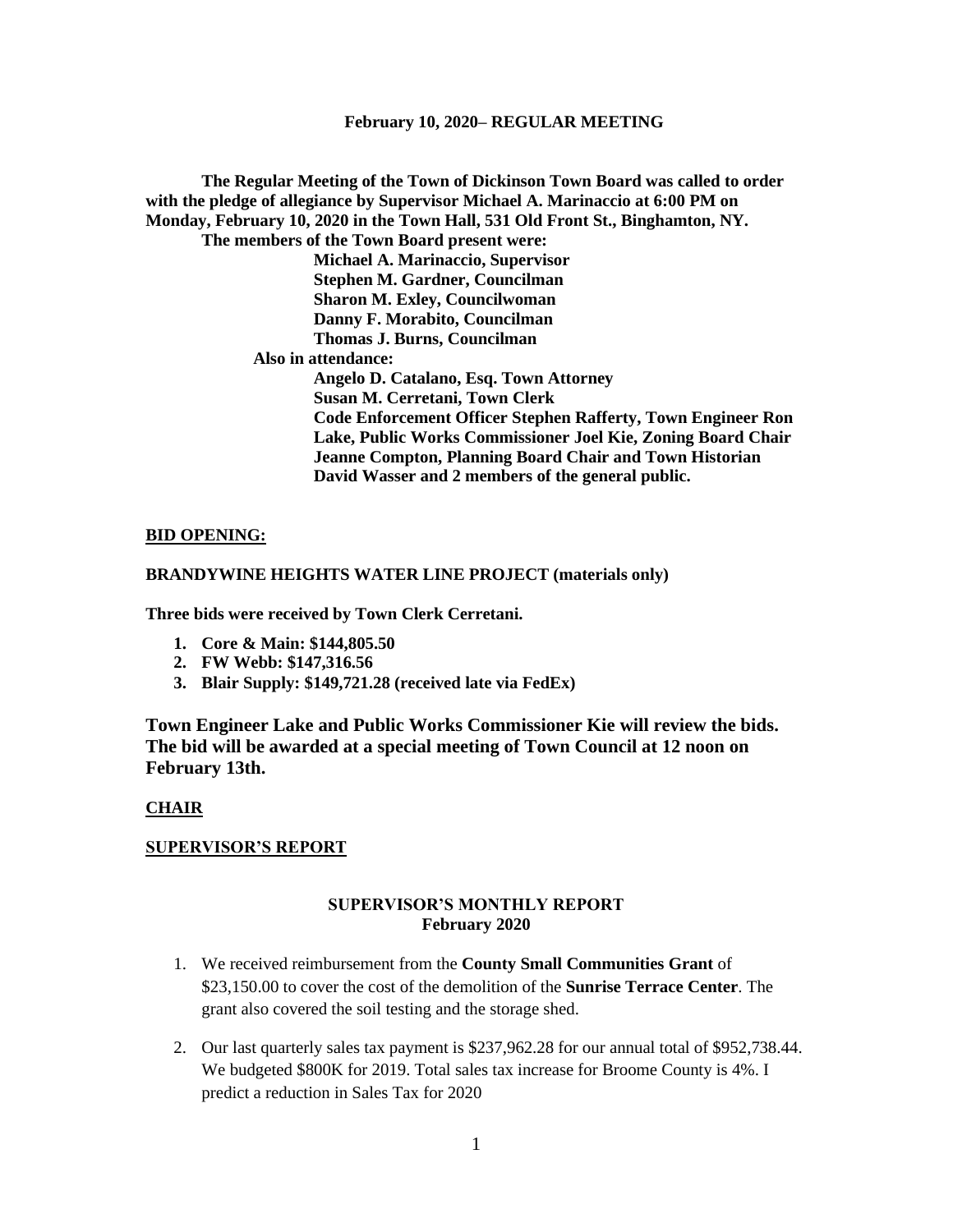**The Regular Meeting of the Town of Dickinson Town Board was called to order with the pledge of allegiance by Supervisor Michael A. Marinaccio at 6:00 PM on Monday, February 10, 2020 in the Town Hall, 531 Old Front St., Binghamton, NY. The members of the Town Board present were: Michael A. Marinaccio, Supervisor Stephen M. Gardner, Councilman Sharon M. Exley, Councilwoman Danny F. Morabito, Councilman Thomas J. Burns, Councilman Also in attendance: Angelo D. Catalano, Esq. Town Attorney Susan M. Cerretani, Town Clerk Code Enforcement Officer Stephen Rafferty, Town Engineer Ron Lake, Public Works Commissioner Joel Kie, Zoning Board Chair Jeanne Compton, Planning Board Chair and Town Historian David Wasser and 2 members of the general public.**

#### **BID OPENING:**

#### **BRANDYWINE HEIGHTS WATER LINE PROJECT (materials only)**

**Three bids were received by Town Clerk Cerretani.**

- **1. Core & Main: \$144,805.50**
- **2. FW Webb: \$147,316.56**
- **3. Blair Supply: \$149,721.28 (received late via FedEx)**

**Town Engineer Lake and Public Works Commissioner Kie will review the bids. The bid will be awarded at a special meeting of Town Council at 12 noon on February 13th.**

### **CHAIR**

### **SUPERVISOR'S REPORT**

#### **SUPERVISOR'S MONTHLY REPORT February 2020**

- 1. We received reimbursement from the **County Small Communities Grant** of \$23,150.00 to cover the cost of the demolition of the **Sunrise Terrace Center**. The grant also covered the soil testing and the storage shed.
- 2. Our last quarterly sales tax payment is \$237,962.28 for our annual total of \$952,738.44. We budgeted \$800K for 2019. Total sales tax increase for Broome County is 4%. I predict a reduction in Sales Tax for 2020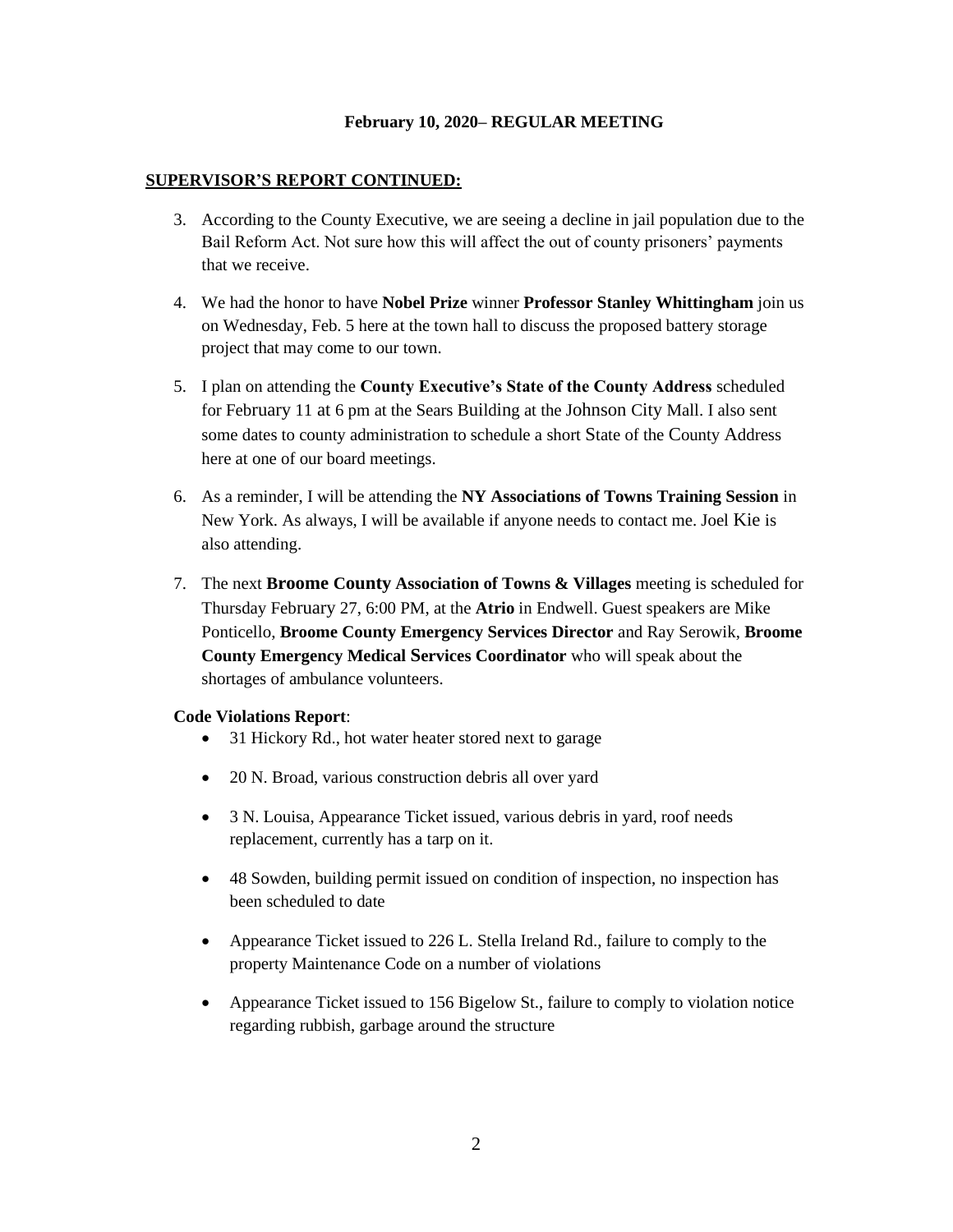### **SUPERVISOR'S REPORT CONTINUED:**

- 3. According to the County Executive, we are seeing a decline in jail population due to the Bail Reform Act. Not sure how this will affect the out of county prisoners' payments that we receive.
- 4. We had the honor to have **Nobel Prize** winner **Professor Stanley Whittingham** join us on Wednesday, Feb. 5 here at the town hall to discuss the proposed battery storage project that may come to our town.
- 5. I plan on attending the **County Executive's State of the County Address** scheduled for February 11 at 6 pm at the Sears Building at the Johnson City Mall. I also sent some dates to county administration to schedule a short State of the County Address here at one of our board meetings.
- 6. As a reminder, I will be attending the **NY Associations of Towns Training Session** in New York. As always, I will be available if anyone needs to contact me. Joel Kie is also attending.
- 7. The next **Broome County Association of Towns & Villages** meeting is scheduled for Thursday February 27, 6:00 PM, at the **Atrio** in Endwell. Guest speakers are Mike Ponticello, **Broome County Emergency Services Director** and Ray Serowik, **Broome County Emergency Medical Services Coordinator** who will speak about the shortages of ambulance volunteers.

#### **Code Violations Report**:

- 31 Hickory Rd., hot water heater stored next to garage
- 20 N. Broad, various construction debris all over yard
- 3 N. Louisa, Appearance Ticket issued, various debris in yard, roof needs replacement, currently has a tarp on it.
- 48 Sowden, building permit issued on condition of inspection, no inspection has been scheduled to date
- Appearance Ticket issued to 226 L. Stella Ireland Rd., failure to comply to the property Maintenance Code on a number of violations
- Appearance Ticket issued to 156 Bigelow St., failure to comply to violation notice regarding rubbish, garbage around the structure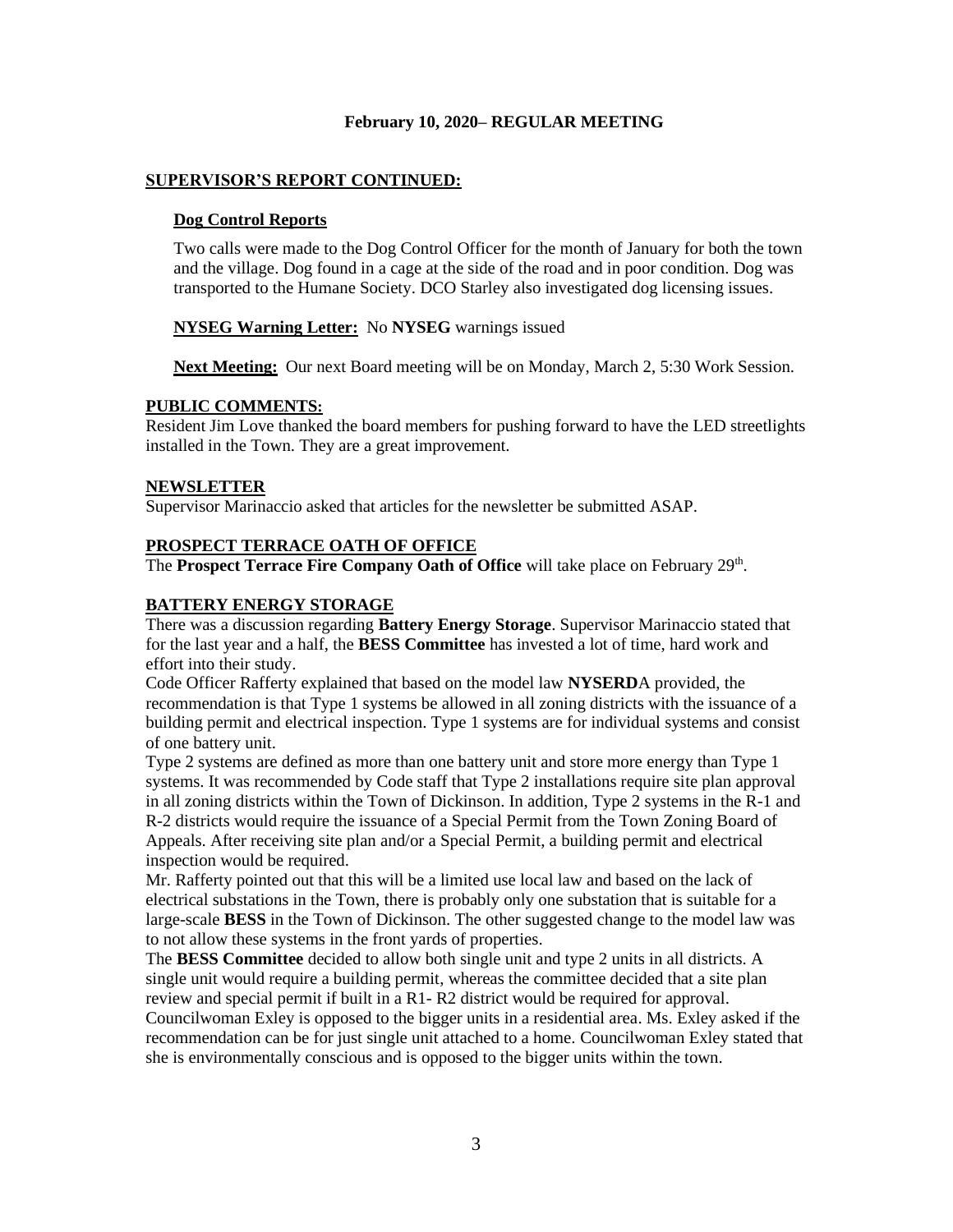### **SUPERVISOR'S REPORT CONTINUED:**

#### **Dog Control Reports**

Two calls were made to the Dog Control Officer for the month of January for both the town and the village. Dog found in a cage at the side of the road and in poor condition. Dog was transported to the Humane Society. DCO Starley also investigated dog licensing issues.

#### **NYSEG Warning Letter:** No **NYSEG** warnings issued

**Next Meeting:** Our next Board meeting will be on Monday, March 2, 5:30 Work Session.

#### **PUBLIC COMMENTS:**

Resident Jim Love thanked the board members for pushing forward to have the LED streetlights installed in the Town. They are a great improvement.

#### **NEWSLETTER**

Supervisor Marinaccio asked that articles for the newsletter be submitted ASAP.

### **PROSPECT TERRACE OATH OF OFFICE**

The **Prospect Terrace Fire Company Oath of Office** will take place on February 29<sup>th</sup>.

### **BATTERY ENERGY STORAGE**

There was a discussion regarding **Battery Energy Storage**. Supervisor Marinaccio stated that for the last year and a half, the **BESS Committee** has invested a lot of time, hard work and effort into their study.

Code Officer Rafferty explained that based on the model law **NYSERD**A provided, the recommendation is that Type 1 systems be allowed in all zoning districts with the issuance of a building permit and electrical inspection. Type 1 systems are for individual systems and consist of one battery unit.

Type 2 systems are defined as more than one battery unit and store more energy than Type 1 systems. It was recommended by Code staff that Type 2 installations require site plan approval in all zoning districts within the Town of Dickinson. In addition, Type 2 systems in the R-1 and R-2 districts would require the issuance of a Special Permit from the Town Zoning Board of Appeals. After receiving site plan and/or a Special Permit, a building permit and electrical inspection would be required.

Mr. Rafferty pointed out that this will be a limited use local law and based on the lack of electrical substations in the Town, there is probably only one substation that is suitable for a large-scale **BESS** in the Town of Dickinson. The other suggested change to the model law was to not allow these systems in the front yards of properties.

The **BESS Committee** decided to allow both single unit and type 2 units in all districts. A single unit would require a building permit, whereas the committee decided that a site plan review and special permit if built in a R1- R2 district would be required for approval. Councilwoman Exley is opposed to the bigger units in a residential area. Ms. Exley asked if the recommendation can be for just single unit attached to a home. Councilwoman Exley stated that she is environmentally conscious and is opposed to the bigger units within the town.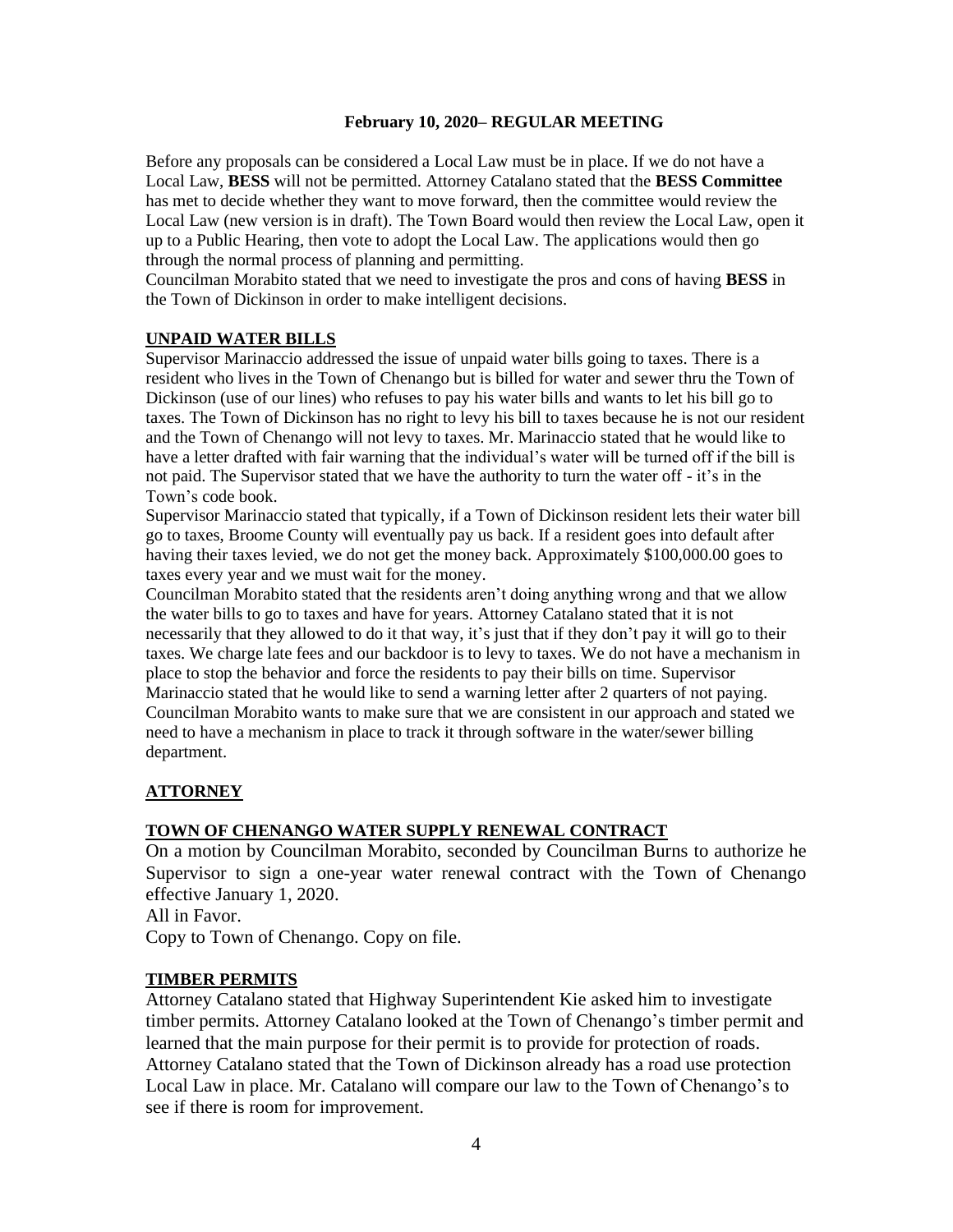Before any proposals can be considered a Local Law must be in place. If we do not have a Local Law, **BESS** will not be permitted. Attorney Catalano stated that the **BESS Committee** has met to decide whether they want to move forward, then the committee would review the Local Law (new version is in draft). The Town Board would then review the Local Law, open it up to a Public Hearing, then vote to adopt the Local Law. The applications would then go through the normal process of planning and permitting.

Councilman Morabito stated that we need to investigate the pros and cons of having **BESS** in the Town of Dickinson in order to make intelligent decisions.

## **UNPAID WATER BILLS**

Supervisor Marinaccio addressed the issue of unpaid water bills going to taxes. There is a resident who lives in the Town of Chenango but is billed for water and sewer thru the Town of Dickinson (use of our lines) who refuses to pay his water bills and wants to let his bill go to taxes. The Town of Dickinson has no right to levy his bill to taxes because he is not our resident and the Town of Chenango will not levy to taxes. Mr. Marinaccio stated that he would like to have a letter drafted with fair warning that the individual's water will be turned off if the bill is not paid. The Supervisor stated that we have the authority to turn the water off - it's in the Town's code book.

Supervisor Marinaccio stated that typically, if a Town of Dickinson resident lets their water bill go to taxes, Broome County will eventually pay us back. If a resident goes into default after having their taxes levied, we do not get the money back. Approximately \$100,000.00 goes to taxes every year and we must wait for the money.

Councilman Morabito stated that the residents aren't doing anything wrong and that we allow the water bills to go to taxes and have for years. Attorney Catalano stated that it is not necessarily that they allowed to do it that way, it's just that if they don't pay it will go to their taxes. We charge late fees and our backdoor is to levy to taxes. We do not have a mechanism in place to stop the behavior and force the residents to pay their bills on time. Supervisor Marinaccio stated that he would like to send a warning letter after 2 quarters of not paying. Councilman Morabito wants to make sure that we are consistent in our approach and stated we need to have a mechanism in place to track it through software in the water/sewer billing department.

# **ATTORNEY**

### **TOWN OF CHENANGO WATER SUPPLY RENEWAL CONTRACT**

On a motion by Councilman Morabito, seconded by Councilman Burns to authorize he Supervisor to sign a one-year water renewal contract with the Town of Chenango effective January 1, 2020.

All in Favor.

Copy to Town of Chenango. Copy on file.

# **TIMBER PERMITS**

Attorney Catalano stated that Highway Superintendent Kie asked him to investigate timber permits. Attorney Catalano looked at the Town of Chenango's timber permit and learned that the main purpose for their permit is to provide for protection of roads. Attorney Catalano stated that the Town of Dickinson already has a road use protection Local Law in place. Mr. Catalano will compare our law to the Town of Chenango's to see if there is room for improvement.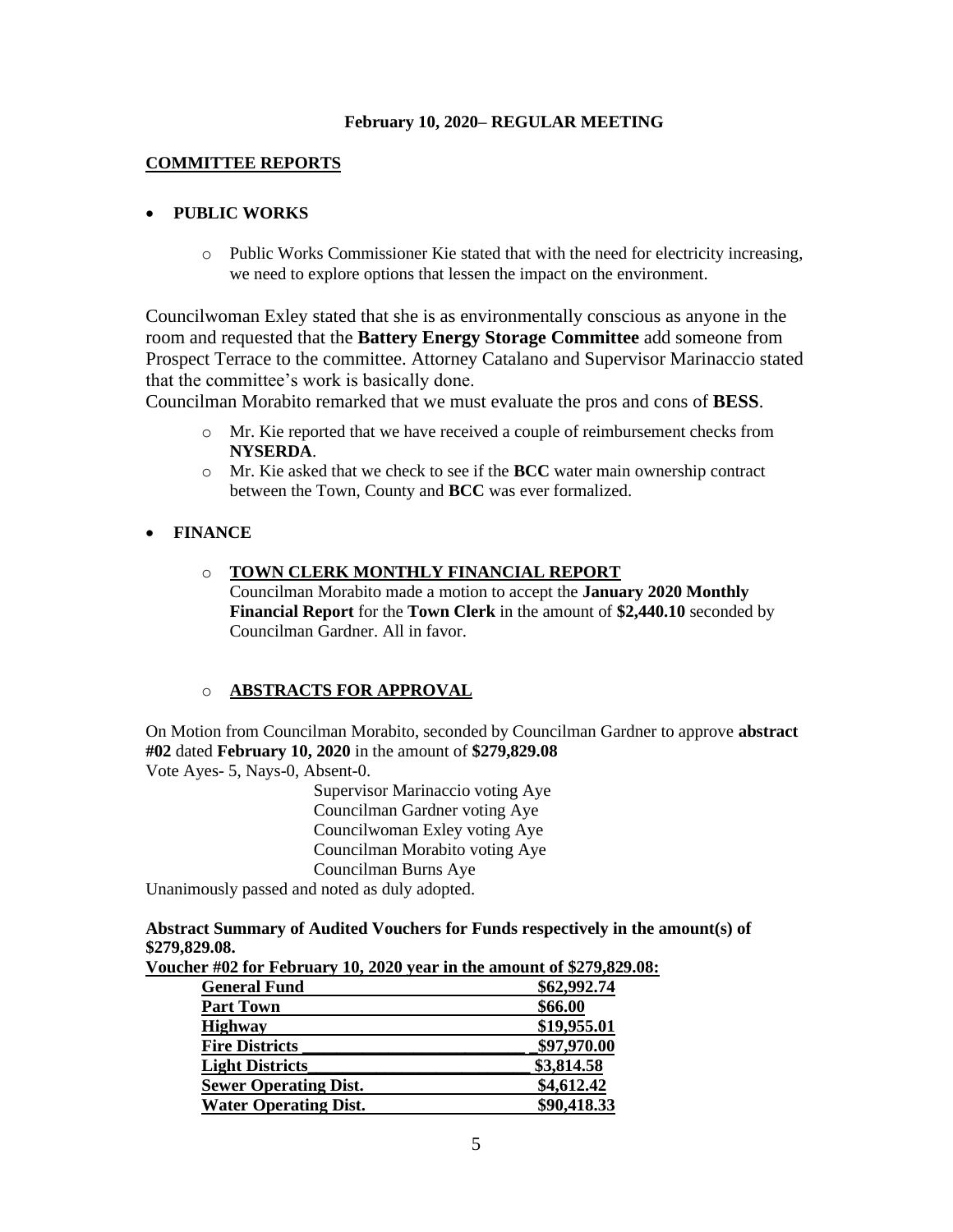### **COMMITTEE REPORTS**

# • **PUBLIC WORKS**

o Public Works Commissioner Kie stated that with the need for electricity increasing, we need to explore options that lessen the impact on the environment.

Councilwoman Exley stated that she is as environmentally conscious as anyone in the room and requested that the **Battery Energy Storage Committee** add someone from Prospect Terrace to the committee. Attorney Catalano and Supervisor Marinaccio stated that the committee's work is basically done.

Councilman Morabito remarked that we must evaluate the pros and cons of **BESS**.

- o Mr. Kie reported that we have received a couple of reimbursement checks from **NYSERDA**.
- o Mr. Kie asked that we check to see if the **BCC** water main ownership contract between the Town, County and **BCC** was ever formalized.

## • **FINANCE**

### o **TOWN CLERK MONTHLY FINANCIAL REPORT**

Councilman Morabito made a motion to accept the **January 2020 Monthly Financial Report** for the **Town Clerk** in the amount of **\$2,440.10** seconded by Councilman Gardner. All in favor.

# o **ABSTRACTS FOR APPROVAL**

On Motion from Councilman Morabito, seconded by Councilman Gardner to approve **abstract #02** dated **February 10, 2020** in the amount of **\$279,829.08** Vote Ayes- 5, Nays-0, Absent-0.

Supervisor Marinaccio voting Aye Councilman Gardner voting Aye Councilwoman Exley voting Aye Councilman Morabito voting Aye Councilman Burns Aye

Unanimously passed and noted as duly adopted.

**Abstract Summary of Audited Vouchers for Funds respectively in the amount(s) of \$279,829.08.** 

| $1.9992$ and $0.199$ we have the second state $0.199$ and $0.199$ |
|-------------------------------------------------------------------|
| \$62,992.74                                                       |
| \$66.00                                                           |
| \$19,955.01                                                       |
| \$97,970.00                                                       |
| \$3,814.58                                                        |
| \$4,612.42                                                        |
| \$90,418.33                                                       |
|                                                                   |

**Voucher #02 for February 10, 2020 year in the amount of \$279,829.08:**